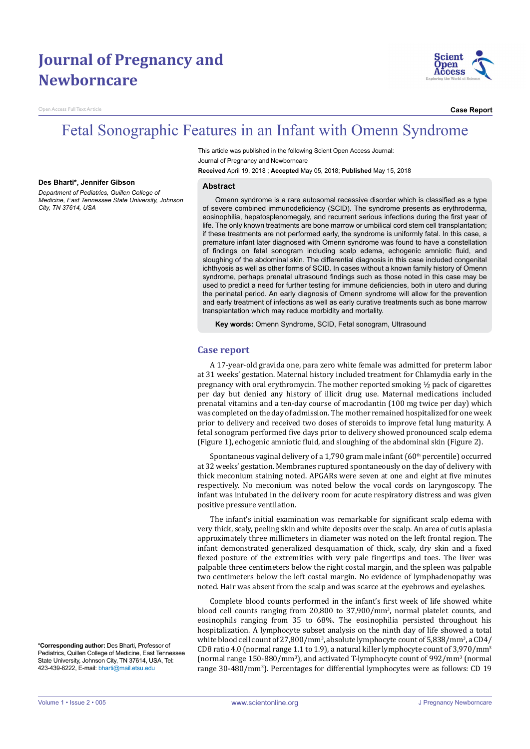# **Journal of Pregnancy and Newborncare**

en Access Full Text Article



**Case Report**

## Fetal Sonographic Features in an Infant with Omenn Syndrome

This article was published in the following Scient Open Access Journal: Journal of Pregnancy and Newborncare **Received** April 19, 2018 ; **Accepted** May 05, 2018; **Published** May 15, 2018

#### **Des Bharti\*, Jennifer Gibson**

*Department of Pediatrics, Quillen College of Medicine, East Tennessee State University, Johnson City, TN 37614, USA*

#### **Abstract**

Omenn syndrome is a rare autosomal recessive disorder which is classified as a type of severe combined immunodeficiency (SCID). The syndrome presents as erythroderma, eosinophilia, hepatosplenomegaly, and recurrent serious infections during the first year of life. The only known treatments are bone marrow or umbilical cord stem cell transplantation; if these treatments are not performed early, the syndrome is uniformly fatal. In this case, a premature infant later diagnosed with Omenn syndrome was found to have a constellation of findings on fetal sonogram including scalp edema, echogenic amniotic fluid, and sloughing of the abdominal skin. The differential diagnosis in this case included congenital ichthyosis as well as other forms of SCID. In cases without a known family history of Omenn syndrome, perhaps prenatal ultrasound findings such as those noted in this case may be used to predict a need for further testing for immune deficiencies, both in utero and during the perinatal period. An early diagnosis of Omenn syndrome will allow for the prevention and early treatment of infections as well as early curative treatments such as bone marrow transplantation which may reduce morbidity and mortality.

**Key words:** Omenn Syndrome, SCID, Fetal sonogram, Ultrasound

### **Case report**

A 17-year-old gravida one, para zero white female was admitted for preterm labor at 31 weeks' gestation. Maternal history included treatment for Chlamydia early in the pregnancy with oral erythromycin. The mother reported smoking ½ pack of cigarettes per day but denied any history of illicit drug use. Maternal medications included prenatal vitamins and a ten-day course of macrodantin (100 mg twice per day) which was completed on the day of admission. The mother remained hospitalized for one week prior to delivery and received two doses of steroids to improve fetal lung maturity. A fetal sonogram performed five days prior to delivery showed pronounced scalp edema (Figure 1), echogenic amniotic fluid, and sloughing of the abdominal skin (Figure 2).

Spontaneous vaginal delivery of a 1,790 gram male infant  $(60<sup>th</sup>$  percentile) occurred at 32 weeks' gestation. Membranes ruptured spontaneously on the day of delivery with thick meconium staining noted. APGARs were seven at one and eight at five minutes respectively. No meconium was noted below the vocal cords on laryngoscopy. The infant was intubated in the delivery room for acute respiratory distress and was given positive pressure ventilation.

The infant's initial examination was remarkable for significant scalp edema with very thick, scaly, peeling skin and white deposits over the scalp. An area of cutis aplasia approximately three millimeters in diameter was noted on the left frontal region. The infant demonstrated generalized desquamation of thick, scaly, dry skin and a fixed flexed posture of the extremities with very pale fingertips and toes. The liver was palpable three centimeters below the right costal margin, and the spleen was palpable two centimeters below the left costal margin. No evidence of lymphadenopathy was noted. Hair was absent from the scalp and was scarce at the eyebrows and eyelashes.

Complete blood counts performed in the infant's first week of life showed white blood cell counts ranging from 20,800 to 37,900/mm<sup>3</sup>, normal platelet counts, and eosinophils ranging from 35 to 68%. The eosinophilia persisted throughout his hospitalization. A lymphocyte subset analysis on the ninth day of life showed a total white blood cell count of 27,800/mm<sup>3</sup>, absolute lymphocyte count of 5,838/mm<sup>3</sup>, a CD4/ CD8 ratio 4.0 (normal range 1.1 to 1.9), a natural killer lymphocyte count of 3,970/mm<sup>3</sup> (normal range 150-880/mm<sup>3</sup>), and activated T-lymphocyte count of 992/mm<sup>3</sup> (normal range 30-480/mm<sup>3</sup> ). Percentages for differential lymphocytes were as follows: CD 19

**\*Corresponding author:** Des Bharti, Professor of Pediatrics, Quillen College of Medicine, East Tennessee State University, Johnson City, TN 37614, USA, Tel: 423-439-6222, E-mail: bharti@mail.etsu.edu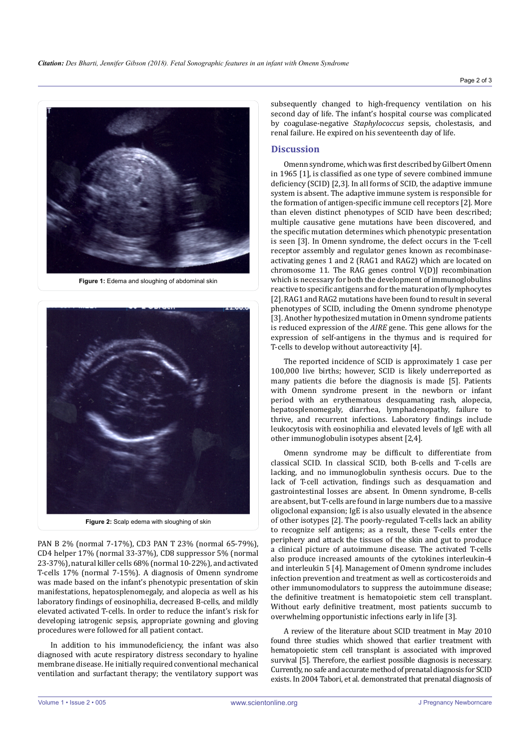

**Figure 1:** Edema and sloughing of abdominal skin



**Figure 2:** Scalp edema with sloughing of skin

PAN B 2% (normal 7-17%), CD3 PAN T 23% (normal 65-79%), CD4 helper 17% (normal 33-37%), CD8 suppressor 5% (normal 23-37%), natural killer cells 68% (normal 10-22%), and activated T-cells 17% (normal 7-15%). A diagnosis of Omenn syndrome was made based on the infant's phenotypic presentation of skin manifestations, hepatosplenomegaly, and alopecia as well as his laboratory findings of eosinophilia, decreased B-cells, and mildly elevated activated T-cells. In order to reduce the infant's risk for developing iatrogenic sepsis, appropriate gowning and gloving procedures were followed for all patient contact.

In addition to his immunodeficiency, the infant was also diagnosed with acute respiratory distress secondary to hyaline membrane disease. He initially required conventional mechanical ventilation and surfactant therapy; the ventilatory support was subsequently changed to high-frequency ventilation on his second day of life. The infant's hospital course was complicated by coagulase-negative *Staphylococcus* sepsis, cholestasis, and renal failure. He expired on his seventeenth day of life.

### **Discussion**

Omenn syndrome, which was first described by Gilbert Omenn in 1965 [1], is classified as one type of severe combined immune deficiency (SCID) [2,3]. In all forms of SCID, the adaptive immune system is absent. The adaptive immune system is responsible for the formation of antigen-specific immune cell receptors [2]. More than eleven distinct phenotypes of SCID have been described; multiple causative gene mutations have been discovered, and the specific mutation determines which phenotypic presentation is seen [3]. In Omenn syndrome, the defect occurs in the T-cell receptor assembly and regulator genes known as recombinaseactivating genes 1 and 2 (RAG1 and RAG2) which are located on chromosome 11. The RAG genes control  $V(D)$  recombination which is necessary for both the development of immunoglobulins reactive to specific antigens and for the maturation of lymphocytes [2]. RAG1 and RAG2 mutations have been found to result in several phenotypes of SCID, including the Omenn syndrome phenotype [3]. Another hypothesized mutation in Omenn syndrome patients is reduced expression of the *AIRE* gene. This gene allows for the expression of self-antigens in the thymus and is required for T-cells to develop without autoreactivity [4].

The reported incidence of SCID is approximately 1 case per 100,000 live births; however, SCID is likely underreported as many patients die before the diagnosis is made [5]. Patients with Omenn syndrome present in the newborn or infant period with an erythematous desquamating rash, alopecia, hepatosplenomegaly, diarrhea, lymphadenopathy, failure to thrive, and recurrent infections. Laboratory findings include leukocytosis with eosinophilia and elevated levels of IgE with all other immunoglobulin isotypes absent [2,4].

Omenn syndrome may be difficult to differentiate from classical SCID. In classical SCID, both B-cells and T-cells are lacking, and no immunoglobulin synthesis occurs. Due to the lack of T-cell activation, findings such as desquamation and gastrointestinal losses are absent. In Omenn syndrome, B-cells are absent, but T-cells are found in large numbers due to a massive oligoclonal expansion; IgE is also usually elevated in the absence of other isotypes [2]. The poorly-regulated T-cells lack an ability to recognize self antigens; as a result, these T-cells enter the periphery and attack the tissues of the skin and gut to produce a clinical picture of autoimmune disease. The activated T-cells also produce increased amounts of the cytokines interleukin-4 and interleukin 5 [4]. Management of Omenn syndrome includes infection prevention and treatment as well as corticosteroids and other immunomodulators to suppress the autoimmune disease; the definitive treatment is hematopoietic stem cell transplant. Without early definitive treatment, most patients succumb to overwhelming opportunistic infections early in life [3].

A review of the literature about SCID treatment in May 2010 found three studies which showed that earlier treatment with hematopoietic stem cell transplant is associated with improved survival [5]. Therefore, the earliest possible diagnosis is necessary. Currently, no safe and accurate method of prenatal diagnosis for SCID exists. In 2004 Tabori, et al. demonstrated that prenatal diagnosis of